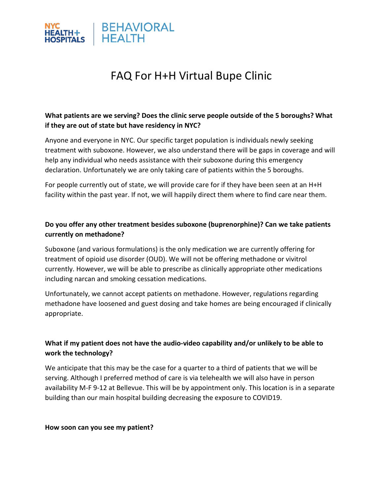

# FAQ For H+H Virtual Bupe Clinic

## **What patients are we serving? Does the clinic serve people outside of the 5 boroughs? What if they are out of state but have residency in NYC?**

Anyone and everyone in NYC. Our specific target population is individuals newly seeking treatment with suboxone. However, we also understand there will be gaps in coverage and will help any individual who needs assistance with their suboxone during this emergency declaration. Unfortunately we are only taking care of patients within the 5 boroughs.

For people currently out of state, we will provide care for if they have been seen at an H+H facility within the past year. If not, we will happily direct them where to find care near them.

## **Do you offer any other treatment besides suboxone (buprenorphine)? Can we take patients currently on methadone?**

Suboxone (and various formulations) is the only medication we are currently offering for treatment of opioid use disorder (OUD). We will not be offering methadone or vivitrol currently. However, we will be able to prescribe as clinically appropriate other medications including narcan and smoking cessation medications.

Unfortunately, we cannot accept patients on methadone. However, regulations regarding methadone have loosened and guest dosing and take homes are being encouraged if clinically appropriate.

## **What if my patient does not have the audio-video capability and/or unlikely to be able to work the technology?**

We anticipate that this may be the case for a quarter to a third of patients that we will be serving. Although I preferred method of care is via telehealth we will also have in person availability M-F 9-12 at Bellevue. This will be by appointment only. This location is in a separate building than our main hospital building decreasing the exposure to COVID19.

#### **How soon can you see my patient?**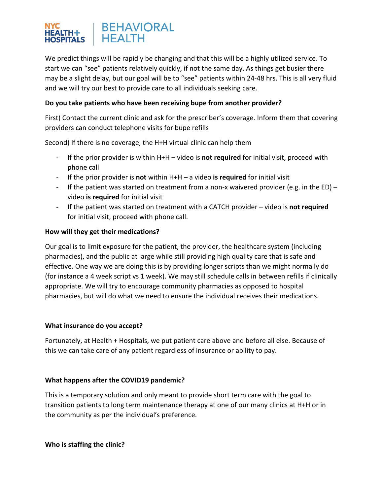### **BEHAVIORAL HEALTH HOSPITALS**

We predict things will be rapidly be changing and that this will be a highly utilized service. To start we can "see" patients relatively quickly, if not the same day. As things get busier there may be a slight delay, but our goal will be to "see" patients within 24-48 hrs. This is all very fluid and we will try our best to provide care to all individuals seeking care.

## **Do you take patients who have been receiving bupe from another provider?**

First) Contact the current clinic and ask for the prescriber's coverage. Inform them that covering providers can conduct telephone visits for bupe refills

Second) If there is no coverage, the H+H virtual clinic can help them

- If the prior provider is within H+H video is **not required** for initial visit, proceed with phone call
- If the prior provider is **not** within H+H a video **is required** for initial visit
- If the patient was started on treatment from a non-x waivered provider (e.g. in the ED) video **is required** for initial visit
- If the patient was started on treatment with a CATCH provider video is **not required** for initial visit, proceed with phone call.

## **How will they get their medications?**

Our goal is to limit exposure for the patient, the provider, the healthcare system (including pharmacies), and the public at large while still providing high quality care that is safe and effective. One way we are doing this is by providing longer scripts than we might normally do (for instance a 4 week script vs 1 week). We may still schedule calls in between refills if clinically appropriate. We will try to encourage community pharmacies as opposed to hospital pharmacies, but will do what we need to ensure the individual receives their medications.

#### **What insurance do you accept?**

Fortunately, at Health + Hospitals, we put patient care above and before all else. Because of this we can take care of any patient regardless of insurance or ability to pay.

## **What happens after the COVID19 pandemic?**

This is a temporary solution and only meant to provide short term care with the goal to transition patients to long term maintenance therapy at one of our many clinics at H+H or in the community as per the individual's preference.